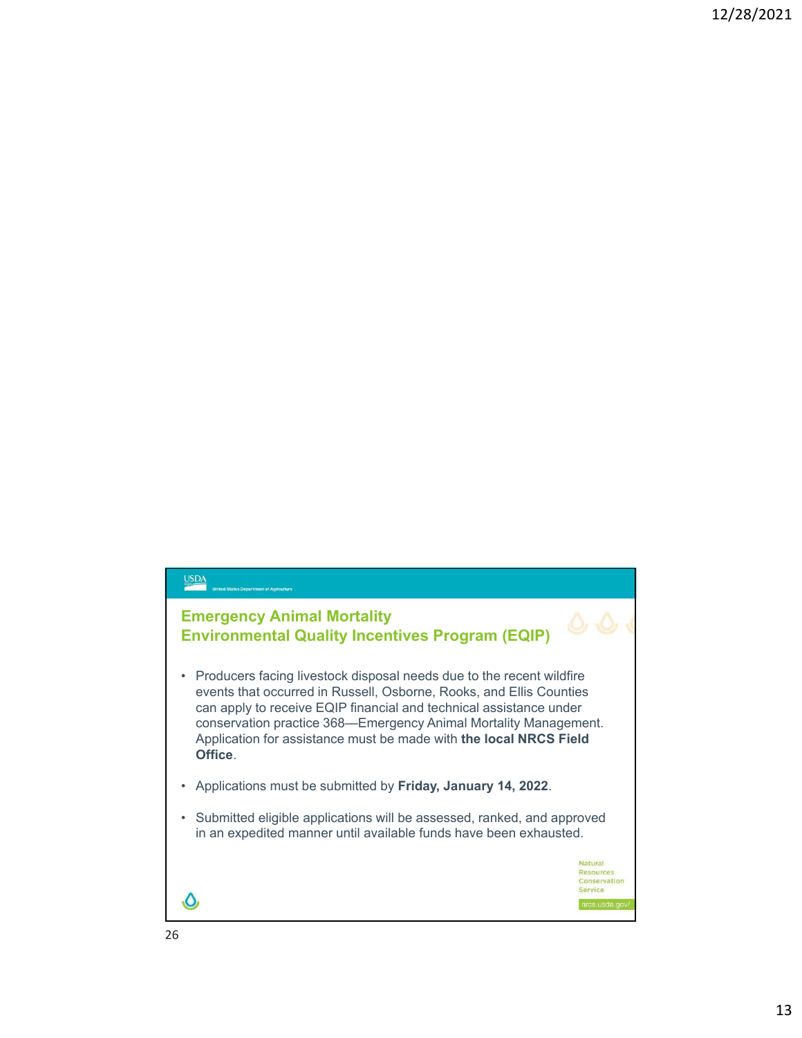## USDA

nt of Ar

## **Emergency Animal Mortality Environmental Quality Incentives Program (EQIP)**

- Producers facing livestock disposal needs due to the recent wildfire events that occurred in Russell, Osborne, Rooks, and Ellis Counties can apply to receive EQIP financial and technical assistance under conservation practice 368—Emergency Animal Mortality Management. Application for assistance must be made with **the local NRCS Field Office**.
- Applications must be submitted by **Friday, January 14, 2022**.
- Submitted eligible applications will be assessed, ranked, and approved in an expedited manner until available funds have been exhausted.

 $\mathcal{O}$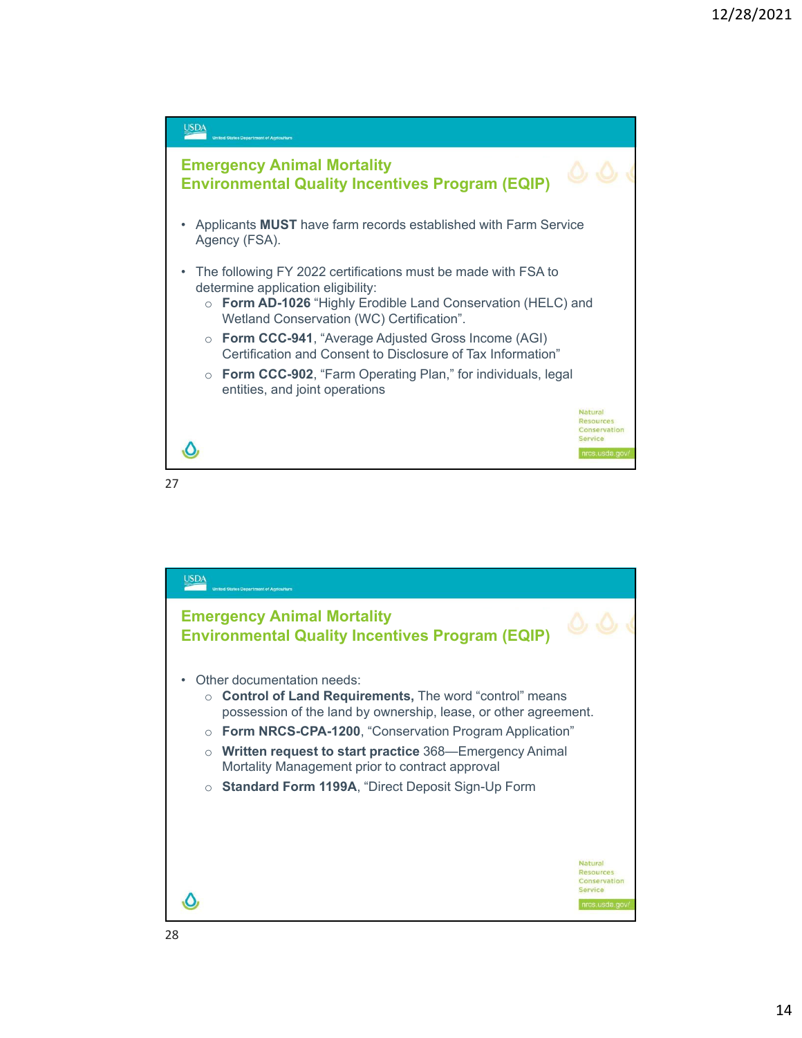

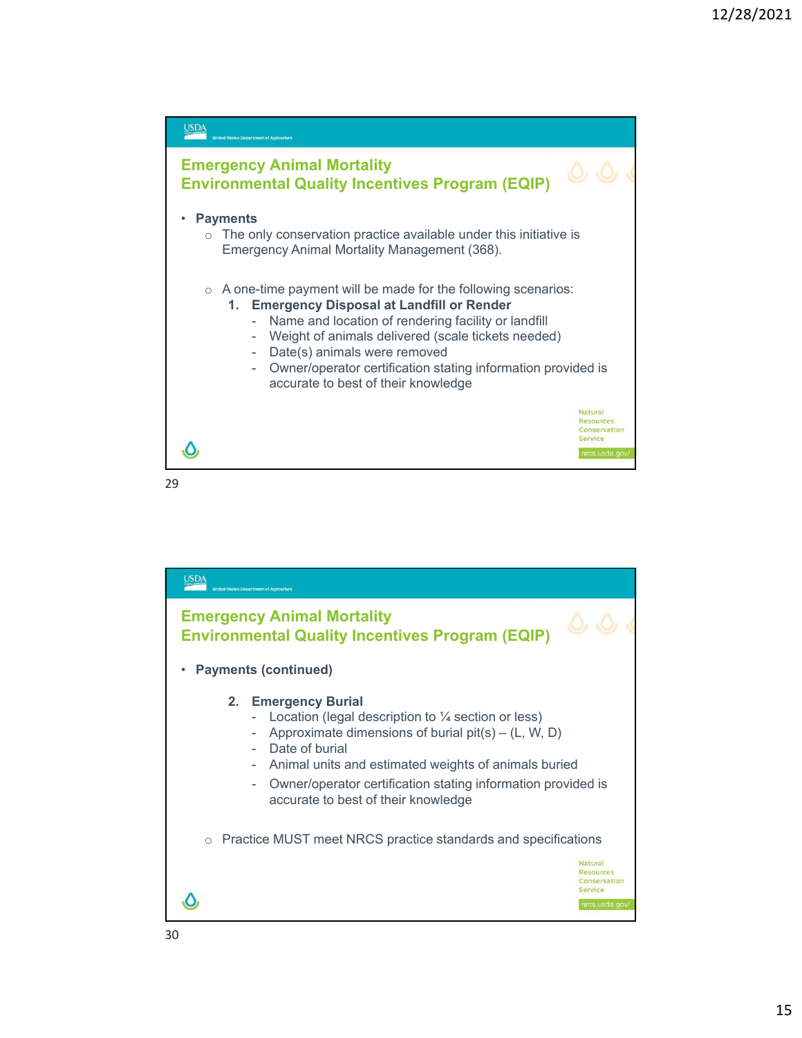

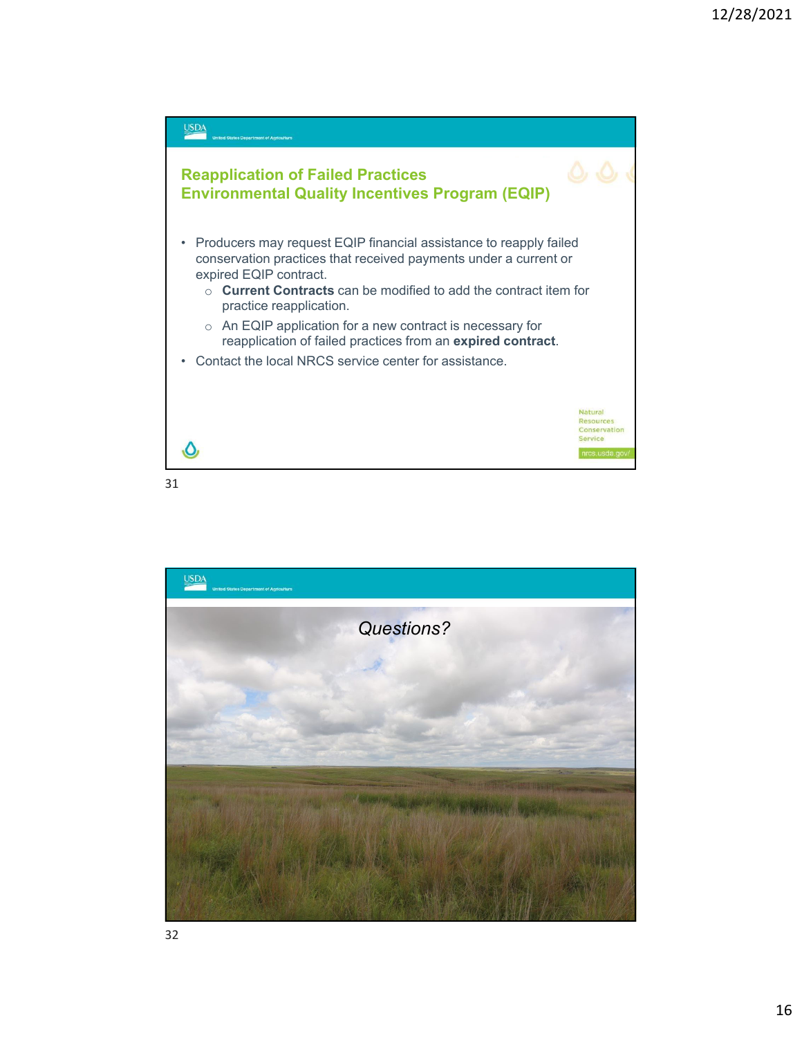